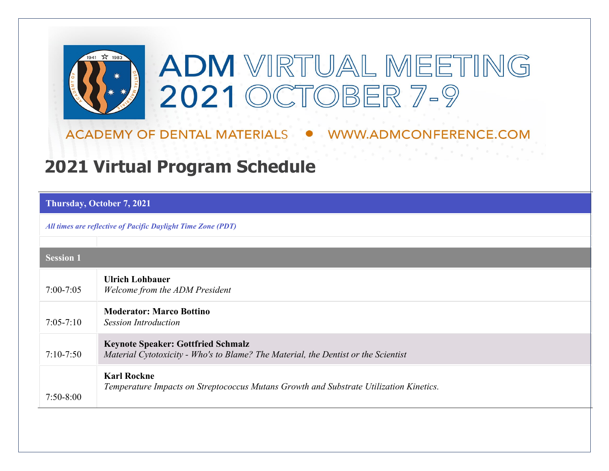

ACADEMY OF DENTAL MATERIALS ● WWW.ADMCONFERENCE.COM

20 시작 전자 작동학

## **2021 Virtual Program Schedule**

**Thursday, October 7, 2021**

*All times are reflective of Pacific Daylight Time Zone (PDT)*

| <b>Session 1</b> |                                                                                                                                 |
|------------------|---------------------------------------------------------------------------------------------------------------------------------|
| $7:00 - 7:05$    | <b>Ulrich Lohbauer</b><br>Welcome from the ADM President                                                                        |
| $7:05 - 7:10$    | <b>Moderator: Marco Bottino</b><br><b>Session Introduction</b>                                                                  |
| $7:10-7:50$      | <b>Keynote Speaker: Gottfried Schmalz</b><br>Material Cytotoxicity - Who's to Blame? The Material, the Dentist or the Scientist |
| $7:50-8:00$      | <b>Karl Rockne</b><br>Temperature Impacts on Streptococcus Mutans Growth and Substrate Utilization Kinetics.                    |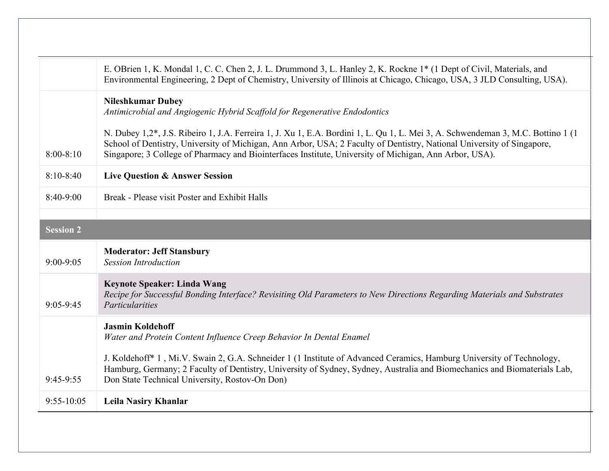|                  | E. OBrien 1, K. Mondal 1, C. C. Chen 2, J. L. Drummond 3, L. Hanley 2, K. Rockne 1* (1 Dept of Civil, Materials, and<br>Environmental Engineering, 2 Dept of Chemistry, University of Illinois at Chicago, Chicago, USA, 3 JLD Consulting, USA).                                                                                                                     |
|------------------|----------------------------------------------------------------------------------------------------------------------------------------------------------------------------------------------------------------------------------------------------------------------------------------------------------------------------------------------------------------------|
|                  | <b>Nileshkumar Dubey</b><br>Antimicrobial and Angiogenic Hybrid Scaffold for Regenerative Endodontics                                                                                                                                                                                                                                                                |
| $8:00 - 8:10$    | N. Dubey 1,2*, J.S. Ribeiro 1, J.A. Ferreira 1, J. Xu 1, E.A. Bordini 1, L. Qu 1, L. Mei 3, A. Schwendeman 3, M.C. Bottino 1 (1)<br>School of Dentistry, University of Michigan, Ann Arbor, USA; 2 Faculty of Dentistry, National University of Singapore,<br>Singapore; 3 College of Pharmacy and Biointerfaces Institute, University of Michigan, Ann Arbor, USA). |
| $8:10-8:40$      | <b>Live Question &amp; Answer Session</b>                                                                                                                                                                                                                                                                                                                            |
| 8:40-9:00        | Break - Please visit Poster and Exhibit Halls                                                                                                                                                                                                                                                                                                                        |
|                  |                                                                                                                                                                                                                                                                                                                                                                      |
| <b>Session 2</b> |                                                                                                                                                                                                                                                                                                                                                                      |
| $9:00-9:05$      | <b>Moderator: Jeff Stansbury</b><br><b>Session Introduction</b>                                                                                                                                                                                                                                                                                                      |
| $9:05-9:45$      | <b>Keynote Speaker: Linda Wang</b><br>Recipe for Successful Bonding Interface? Revisiting Old Parameters to New Directions Regarding Materials and Substrates<br>Particularities                                                                                                                                                                                     |
|                  | <b>Jasmin Koldehoff</b><br>Water and Protein Content Influence Creep Behavior In Dental Enamel                                                                                                                                                                                                                                                                       |
| $9:45-9:55$      | J. Koldehoff* 1, Mi.V. Swain 2, G.A. Schneider 1 (1 Institute of Advanced Ceramics, Hamburg University of Technology,<br>Hamburg, Germany; 2 Faculty of Dentistry, University of Sydney, Sydney, Australia and Biomechanics and Biomaterials Lab,<br>Don State Technical University, Rostov-On Don)                                                                  |
| $9:55 - 10:05$   | <b>Leila Nasiry Khanlar</b>                                                                                                                                                                                                                                                                                                                                          |
|                  |                                                                                                                                                                                                                                                                                                                                                                      |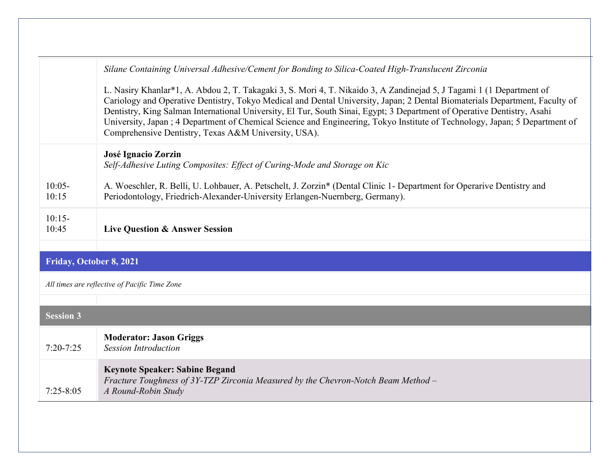|                                               | Silane Containing Universal Adhesive/Cement for Bonding to Silica-Coated High-Translucent Zirconia                                                                                                                                                                                                                                                                                                                                                                                                                                                                   |
|-----------------------------------------------|----------------------------------------------------------------------------------------------------------------------------------------------------------------------------------------------------------------------------------------------------------------------------------------------------------------------------------------------------------------------------------------------------------------------------------------------------------------------------------------------------------------------------------------------------------------------|
|                                               | L. Nasiry Khanlar*1, A. Abdou 2, T. Takagaki 3, S. Mori 4, T. Nikaido 3, A Zandinejad 5, J Tagami 1 (1 Department of<br>Cariology and Operative Dentistry, Tokyo Medical and Dental University, Japan; 2 Dental Biomaterials Department, Faculty of<br>Dentistry, King Salman International University, El Tur, South Sinai, Egypt; 3 Department of Operative Dentistry, Asahi<br>University, Japan; 4 Department of Chemical Science and Engineering, Tokyo Institute of Technology, Japan; 5 Department of<br>Comprehensive Dentistry, Texas A&M University, USA). |
|                                               | José Ignacio Zorzin<br>Self-Adhesive Luting Composites: Effect of Curing-Mode and Storage on Kic                                                                                                                                                                                                                                                                                                                                                                                                                                                                     |
| $10:05-$<br>10:15                             | A. Woeschler, R. Belli, U. Lohbauer, A. Petschelt, J. Zorzin* (Dental Clinic 1- Department for Operarive Dentistry and<br>Periodontology, Friedrich-Alexander-University Erlangen-Nuernberg, Germany).                                                                                                                                                                                                                                                                                                                                                               |
| $10:15-$<br>10:45                             | <b>Live Question &amp; Answer Session</b>                                                                                                                                                                                                                                                                                                                                                                                                                                                                                                                            |
|                                               |                                                                                                                                                                                                                                                                                                                                                                                                                                                                                                                                                                      |
| Friday, October 8, 2021                       |                                                                                                                                                                                                                                                                                                                                                                                                                                                                                                                                                                      |
| All times are reflective of Pacific Time Zone |                                                                                                                                                                                                                                                                                                                                                                                                                                                                                                                                                                      |
|                                               |                                                                                                                                                                                                                                                                                                                                                                                                                                                                                                                                                                      |
| <b>Session 3</b>                              |                                                                                                                                                                                                                                                                                                                                                                                                                                                                                                                                                                      |
| $7:20 - 7:25$                                 | <b>Moderator: Jason Griggs</b><br><b>Session Introduction</b>                                                                                                                                                                                                                                                                                                                                                                                                                                                                                                        |
| $7:25 - 8:05$                                 | <b>Keynote Speaker: Sabine Begand</b><br>Fracture Toughness of 3Y-TZP Zirconia Measured by the Chevron-Notch Beam Method -<br>A Round-Robin Study                                                                                                                                                                                                                                                                                                                                                                                                                    |
|                                               |                                                                                                                                                                                                                                                                                                                                                                                                                                                                                                                                                                      |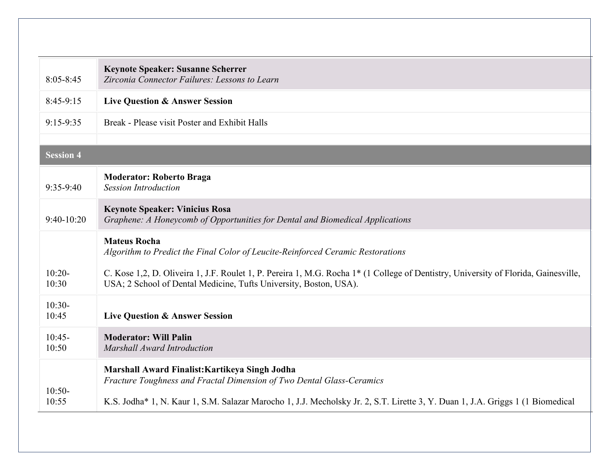| $8:05 - 8:45$     | <b>Keynote Speaker: Susanne Scherrer</b><br>Zirconia Connector Failures: Lessons to Learn                                                                                                                |
|-------------------|----------------------------------------------------------------------------------------------------------------------------------------------------------------------------------------------------------|
| $8:45-9:15$       | <b>Live Question &amp; Answer Session</b>                                                                                                                                                                |
| $9:15-9:35$       | Break - Please visit Poster and Exhibit Halls                                                                                                                                                            |
|                   |                                                                                                                                                                                                          |
| <b>Session 4</b>  |                                                                                                                                                                                                          |
| $9:35-9:40$       | <b>Moderator: Roberto Braga</b><br><b>Session Introduction</b>                                                                                                                                           |
| $9:40-10:20$      | <b>Keynote Speaker: Vinicius Rosa</b><br>Graphene: A Honeycomb of Opportunities for Dental and Biomedical Applications                                                                                   |
|                   | <b>Mateus Rocha</b><br>Algorithm to Predict the Final Color of Leucite-Reinforced Ceramic Restorations                                                                                                   |
| $10:20-$<br>10:30 | C. Kose 1,2, D. Oliveira 1, J.F. Roulet 1, P. Pereira 1, M.G. Rocha 1* (1 College of Dentistry, University of Florida, Gainesville,<br>USA; 2 School of Dental Medicine, Tufts University, Boston, USA). |
| $10:30-$<br>10:45 | <b>Live Question &amp; Answer Session</b>                                                                                                                                                                |
| $10:45-$<br>10:50 | <b>Moderator: Will Palin</b><br><b>Marshall Award Introduction</b>                                                                                                                                       |
| $10:50-$          | Marshall Award Finalist: Kartikeya Singh Jodha<br>Fracture Toughness and Fractal Dimension of Two Dental Glass-Ceramics                                                                                  |
| 10:55             | K.S. Jodha* 1, N. Kaur 1, S.M. Salazar Marocho 1, J.J. Mecholsky Jr. 2, S.T. Lirette 3, Y. Duan 1, J.A. Griggs 1 (1 Biomedical                                                                           |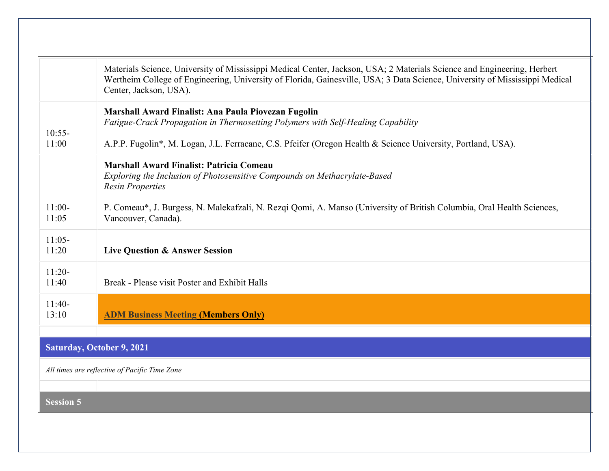|                                               | Materials Science, University of Mississippi Medical Center, Jackson, USA; 2 Materials Science and Engineering, Herbert<br>Wertheim College of Engineering, University of Florida, Gainesville, USA; 3 Data Science, University of Mississippi Medical<br>Center, Jackson, USA). |
|-----------------------------------------------|----------------------------------------------------------------------------------------------------------------------------------------------------------------------------------------------------------------------------------------------------------------------------------|
| $10:55-$<br>11:00                             | Marshall Award Finalist: Ana Paula Piovezan Fugolin<br>Fatigue-Crack Propagation in Thermosetting Polymers with Self-Healing Capability<br>A.P.P. Fugolin*, M. Logan, J.L. Ferracane, C.S. Pfeifer (Oregon Health & Science University, Portland, USA).                          |
|                                               | <b>Marshall Award Finalist: Patricia Comeau</b><br>Exploring the Inclusion of Photosensitive Compounds on Methacrylate-Based<br><b>Resin Properties</b>                                                                                                                          |
| $11:00-$<br>11:05                             | P. Comeau*, J. Burgess, N. Malekafzali, N. Rezqi Qomi, A. Manso (University of British Columbia, Oral Health Sciences,<br>Vancouver, Canada).                                                                                                                                    |
| $11:05-$<br>11:20                             | <b>Live Question &amp; Answer Session</b>                                                                                                                                                                                                                                        |
| $11:20-$<br>11:40                             | Break - Please visit Poster and Exhibit Halls                                                                                                                                                                                                                                    |
| $11:40-$<br>13:10                             | <b>ADM Business Meeting (Members Only)</b>                                                                                                                                                                                                                                       |
|                                               |                                                                                                                                                                                                                                                                                  |
| <b>Saturday, October 9, 2021</b>              |                                                                                                                                                                                                                                                                                  |
| All times are reflective of Pacific Time Zone |                                                                                                                                                                                                                                                                                  |
| <b>Session 5</b>                              |                                                                                                                                                                                                                                                                                  |
|                                               |                                                                                                                                                                                                                                                                                  |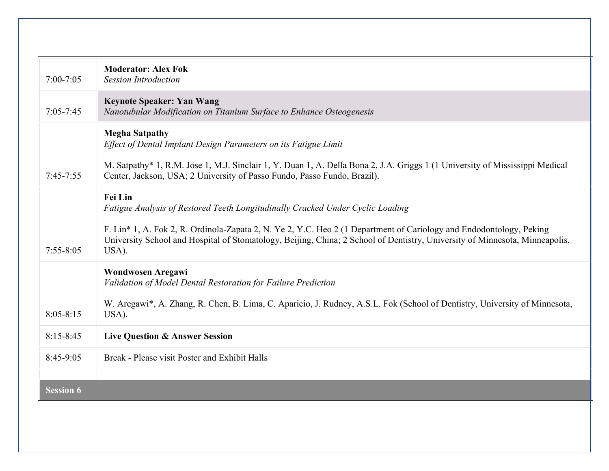| $7:00 - 7:05$    | <b>Moderator: Alex Fok</b><br><b>Session Introduction</b>                                                                                                                                                                                                   |
|------------------|-------------------------------------------------------------------------------------------------------------------------------------------------------------------------------------------------------------------------------------------------------------|
| $7:05 - 7:45$    | <b>Keynote Speaker: Yan Wang</b><br>Nanotubular Modification on Titanium Surface to Enhance Osteogenesis                                                                                                                                                    |
|                  | <b>Megha Satpathy</b><br>Effect of Dental Implant Design Parameters on its Fatigue Limit                                                                                                                                                                    |
| $7:45 - 7:55$    | M. Satpathy* 1, R.M. Jose 1, M.J. Sinclair 1, Y. Duan 1, A. Della Bona 2, J.A. Griggs 1 (1 University of Mississippi Medical<br>Center, Jackson, USA; 2 University of Passo Fundo, Passo Fundo, Brazil).                                                    |
|                  | Fei Lin<br>Fatigue Analysis of Restored Teeth Longitudinally Cracked Under Cyclic Loading                                                                                                                                                                   |
| $7:55 - 8:05$    | F. Lin* 1, A. Fok 2, R. Ordinola-Zapata 2, N. Ye 2, Y.C. Heo 2 (1 Department of Cariology and Endodontology, Peking<br>University School and Hospital of Stomatology, Beijing, China; 2 School of Dentistry, University of Minnesota, Minneapolis,<br>USA). |
|                  | Wondwosen Aregawi<br>Validation of Model Dental Restoration for Failure Prediction                                                                                                                                                                          |
| $8:05 - 8:15$    | W. Aregawi*, A. Zhang, R. Chen, B. Lima, C. Aparicio, J. Rudney, A.S.L. Fok (School of Dentistry, University of Minnesota,<br>USA).                                                                                                                         |
| $8:15 - 8:45$    | <b>Live Question &amp; Answer Session</b>                                                                                                                                                                                                                   |
| $8:45-9:05$      | Break - Please visit Poster and Exhibit Halls                                                                                                                                                                                                               |
|                  |                                                                                                                                                                                                                                                             |
| <b>Session 6</b> |                                                                                                                                                                                                                                                             |
|                  |                                                                                                                                                                                                                                                             |
|                  |                                                                                                                                                                                                                                                             |